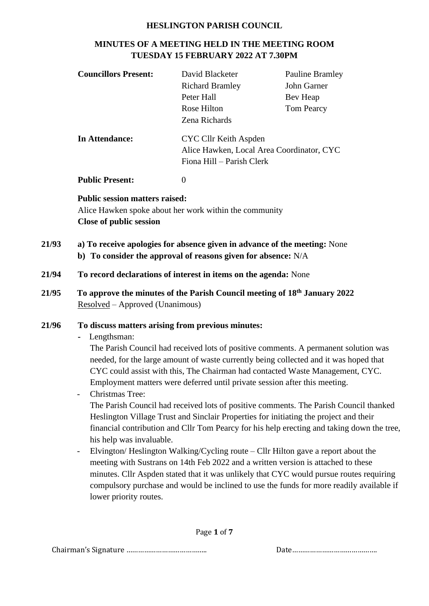#### **HESLINGTON PARISH COUNCIL**

## **MINUTES OF A MEETING HELD IN THE MEETING ROOM TUESDAY 15 FEBRUARY 2022 AT 7.30PM**

| <b>IUESDAY IS FEBRUARY 2022 AT 1.30PM</b>                                    |                                                                                                                                                                                                      |                                                                                                                                                                                                                                                                                                                                                        |  |  |
|------------------------------------------------------------------------------|------------------------------------------------------------------------------------------------------------------------------------------------------------------------------------------------------|--------------------------------------------------------------------------------------------------------------------------------------------------------------------------------------------------------------------------------------------------------------------------------------------------------------------------------------------------------|--|--|
| <b>Councillors Present:</b>                                                  | David Blacketer<br><b>Richard Bramley</b><br>Peter Hall<br>Rose Hilton<br>Zena Richards                                                                                                              | <b>Pauline Bramley</b><br>John Garner<br>Bev Heap<br>Tom Pearcy                                                                                                                                                                                                                                                                                        |  |  |
| <b>In Attendance:</b>                                                        | CYC Cllr Keith Aspden<br>Alice Hawken, Local Area Coordinator, CYC<br>Fiona Hill - Parish Clerk                                                                                                      |                                                                                                                                                                                                                                                                                                                                                        |  |  |
| <b>Public Present:</b>                                                       | $\overline{0}$                                                                                                                                                                                       |                                                                                                                                                                                                                                                                                                                                                        |  |  |
| <b>Public session matters raised:</b><br><b>Close of public session</b>      | Alice Hawken spoke about her work within the community<br>a) To receive apologies for absence given in advance of the meeting: None<br>b) To consider the approval of reasons given for absence: N/A |                                                                                                                                                                                                                                                                                                                                                        |  |  |
|                                                                              | To record declarations of interest in items on the agenda: None                                                                                                                                      |                                                                                                                                                                                                                                                                                                                                                        |  |  |
| Resolved – Approved (Unanimous)                                              | To approve the minutes of the Parish Council meeting of 18 <sup>th</sup> January 2022                                                                                                                |                                                                                                                                                                                                                                                                                                                                                        |  |  |
| Lengthsman:<br>$\blacksquare$<br>Christmas Tree:<br>$\overline{\phantom{0}}$ | To discuss matters arising from previous minutes:<br>Employment matters were deferred until private session after this meeting.                                                                      | The Parish Council had received lots of positive comments. A permanent solution was<br>needed, for the large amount of waste currently being collected and it was hoped that<br>CYC could assist with this, The Chairman had contacted Waste Management, CYC.<br>The Parish Council had received lots of positive comments. The Parish Council thanked |  |  |
| his help was invaluable.                                                     |                                                                                                                                                                                                      | Heslington Village Trust and Sinclair Properties for initiating the project and their<br>financial contribution and Cllr Tom Pearcy for his help erecting and taking down the tree,                                                                                                                                                                    |  |  |
|                                                                              |                                                                                                                                                                                                      | Elvington/Heslington Walking/Cycling route – Cllr Hilton gave a report about the<br>mosting with Sustains on 14th Esh 2022 and a written vargion is attached to these                                                                                                                                                                                  |  |  |

meeting with Sustrans on 14th Feb 2022 and a written version is attached to these minutes. Cllr Aspden stated that it was unlikely that CYC would pursue routes requiring compulsory purchase and would be inclined to use the funds for more readily available if lower priority routes.

Page **1** of **7**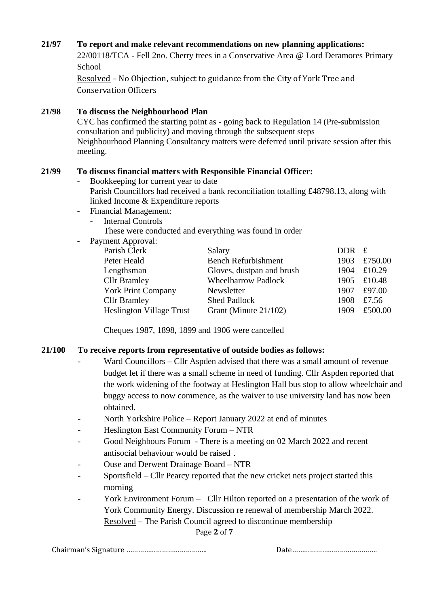#### **21/97 To report and make relevant recommendations on new planning applications:**

22/00118/TCA - Fell 2no. Cherry trees in a Conservative Area @ Lord Deramores Primary School

Resolved – No Objection, subject to guidance from the City of York Tree and Conservation Officers

#### **21/98 To discuss the Neighbourhood Plan**

CYC has confirmed the starting point as - going back to Regulation 14 (Pre-submission consultation and publicity) and moving through the subsequent steps Neighbourhood Planning Consultancy matters were deferred until private session after this meeting.

#### **21/99 To discuss financial matters with Responsible Financial Officer:**

- Bookkeeping for current year to date Parish Councillors had received a bank reconciliation totalling £48798.13, along with linked Income & Expenditure reports
- Financial Management:
	- Internal Controls

These were conducted and everything was found in order

- Payment Approval:

| Parish Clerk                    | Salary                     | $DDR \t f$ |              |
|---------------------------------|----------------------------|------------|--------------|
| Peter Heald                     | <b>Bench Refurbishment</b> |            | 1903 £750.00 |
| Lengthsman                      | Gloves, dustpan and brush  | 1904       | £10.29       |
| <b>Cllr Bramley</b>             | <b>Wheelbarrow Padlock</b> |            | 1905 £10.48  |
| <b>York Print Company</b>       | Newsletter                 |            | 1907 £97.00  |
| <b>Cllr Bramley</b>             | <b>Shed Padlock</b>        |            | 1908 £7.56   |
| <b>Heslington Village Trust</b> | Grant (Minute $21/102$ )   | 1909       | £500.00      |
|                                 |                            |            |              |

Cheques 1987, 1898, 1899 and 1906 were cancelled

#### **21/100 To receive reports from representative of outside bodies as follows:**

- Ward Councillors Cllr Aspden advised that there was a small amount of revenue budget let if there was a small scheme in need of funding. Cllr Aspden reported that the work widening of the footway at Heslington Hall bus stop to allow wheelchair and buggy access to now commence, as the waiver to use university land has now been obtained.
- North Yorkshire Police Report January 2022 at end of minutes
- Heslington East Community Forum NTR
- Good Neighbours Forum There is a meeting on 02 March 2022 and recent antisocial behaviour would be raised .
- Ouse and Derwent Drainage Board NTR
- Sportsfield Cllr Pearcy reported that the new cricket nets project started this morning
- Page **2** of **7** York Environment Forum – Cllr Hilton reported on a presentation of the work of York Community Energy. Discussion re renewal of membership March 2022. Resolved – The Parish Council agreed to discontinue membership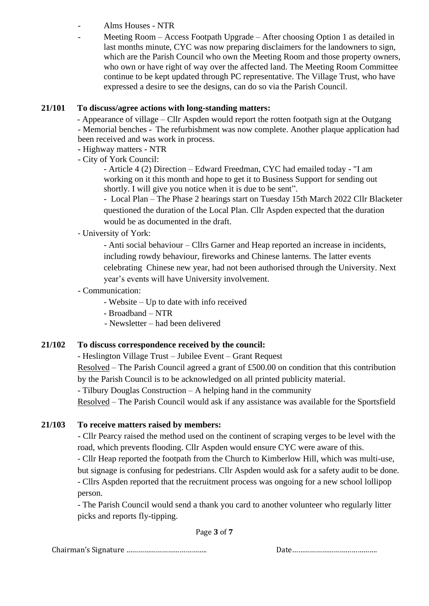- Alms Houses NTR
- Meeting Room Access Footpath Upgrade After choosing Option 1 as detailed in last months minute, CYC was now preparing disclaimers for the landowners to sign, which are the Parish Council who own the Meeting Room and those property owners, who own or have right of way over the affected land. The Meeting Room Committee continue to be kept updated through PC representative. The Village Trust, who have expressed a desire to see the designs, can do so via the Parish Council.

#### **21/101 To discuss/agree actions with long-standing matters:**

- Appearance of village – Cllr Aspden would report the rotten footpath sign at the Outgang - Memorial benches - The refurbishment was now complete. Another plaque application had been received and was work in process.

- **-** Highway matters NTR
- City of York Council:

- Article 4 (2) Direction – Edward Freedman, CYC had emailed today - "I am working on it this month and hope to get it to Business Support for sending out shortly. I will give you notice when it is due to be sent".

- Local Plan – The Phase 2 hearings start on Tuesday 15th March 2022 Cllr Blacketer questioned the duration of the Local Plan. Cllr Aspden expected that the duration would be as documented in the draft.

#### - University of York:

- Anti social behaviour – Cllrs Garner and Heap reported an increase in incidents, including rowdy behaviour, fireworks and Chinese lanterns. The latter events celebrating Chinese new year, had not been authorised through the University. Next year's events will have University involvement.

#### - Communication:

- Website Up to date with info received
- Broadband NTR
- Newsletter had been delivered

#### **21/102 To discuss correspondence received by the council:**

- Heslington Village Trust – Jubilee Event – Grant Request

Resolved – The Parish Council agreed a grant of £500.00 on condition that this contribution by the Parish Council is to be acknowledged on all printed publicity material.

- Tilbury Douglas Construction – A helping hand in the community

Resolved – The Parish Council would ask if any assistance was available for the Sportsfield

#### **21/103 To receive matters raised by members:**

- Cllr Pearcy raised the method used on the continent of scraping verges to be level with the road, which prevents flooding. Cllr Aspden would ensure CYC were aware of this.

- Cllr Heap reported the footpath from the Church to Kimberlow Hill, which was multi-use, but signage is confusing for pedestrians. Cllr Aspden would ask for a safety audit to be done. - Cllrs Aspden reported that the recruitment process was ongoing for a new school lollipop person.

- The Parish Council would send a thank you card to another volunteer who regularly litter picks and reports fly-tipping.

Page **3** of **7**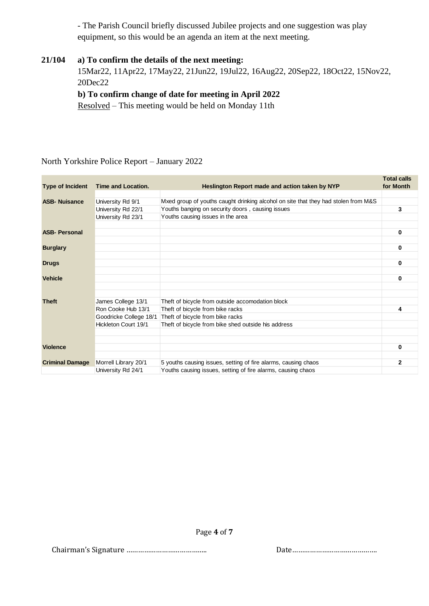- The Parish Council briefly discussed Jubilee projects and one suggestion was play equipment, so this would be an agenda an item at the next meeting.

#### **21/104 a) To confirm the details of the next meeting:**

15Mar22, 11Apr22, 17May22, 21Jun22, 19Jul22, 16Aug22, 20Sep22, 18Oct22, 15Nov22, 20Dec22

## **b) To confirm change of date for meeting in April 2022**

Resolved – This meeting would be held on Monday 11th

#### North Yorkshire Police Report – January 2022

| <b>Type of Incident</b> | <b>Time and Location.</b> | Heslington Report made and action taken by NYP                                     |              |
|-------------------------|---------------------------|------------------------------------------------------------------------------------|--------------|
|                         |                           |                                                                                    |              |
| <b>ASB-Nuisance</b>     | University Rd 9/1         | Mxed group of youths caught drinking alcohol on site that they had stolen from M&S |              |
|                         | University Rd 22/1        | Youths banging on security doors, causing issues                                   | 3            |
|                         | University Rd 23/1        | Youths causing issues in the area                                                  |              |
|                         |                           |                                                                                    |              |
| <b>ASB- Personal</b>    |                           |                                                                                    | $\bf{0}$     |
| <b>Burglary</b>         |                           |                                                                                    | 0            |
|                         |                           |                                                                                    |              |
| <b>Drugs</b>            |                           |                                                                                    | 0            |
|                         |                           |                                                                                    |              |
| <b>Vehicle</b>          |                           |                                                                                    | 0            |
|                         |                           |                                                                                    |              |
|                         |                           |                                                                                    |              |
| <b>Theft</b>            | James College 13/1        | Theft of bicycle from outside accomodation block                                   |              |
|                         | Ron Cooke Hub 13/1        | Theft of bicycle from bike racks                                                   | 4            |
|                         | Goodricke College 18/1    | Theft of bicycle from bike racks                                                   |              |
|                         | Hickleton Court 19/1      | Theft of bicycle from bike shed outside his address                                |              |
|                         |                           |                                                                                    |              |
|                         |                           |                                                                                    |              |
| <b>Violence</b>         |                           |                                                                                    | 0            |
|                         |                           |                                                                                    |              |
| <b>Criminal Damage</b>  | Morrell Library 20/1      | 5 youths causing issues, setting of fire alarms, causing chaos                     | $\mathbf{2}$ |
|                         | University Rd 24/1        | Youths causing issues, setting of fire alarms, causing chaos                       |              |

Page **4** of **7**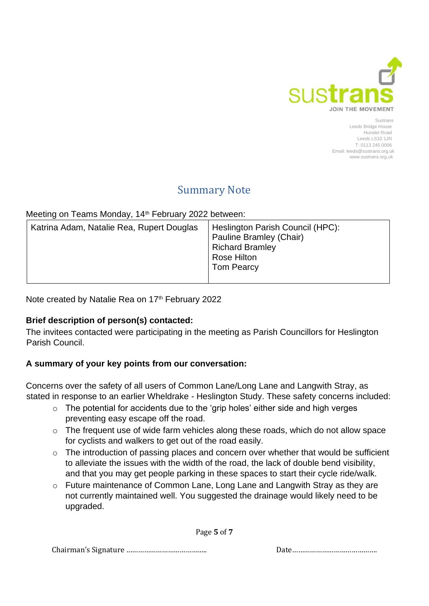

**Sustrans** Leeds Bridge House Hunslet Road Leeds LS10 1JN T: 0113 245 0006 Email: leeds@sustrans.org.uk www.sustrans.org.uk

# Summary Note

Meeting on Teams Monday, 14<sup>th</sup> February 2022 between:

| Katrina Adam, Natalie Rea, Rupert Douglas | Heslington Parish Council (HPC):<br>Pauline Bramley (Chair)<br><b>Richard Bramley</b><br>Rose Hilton<br><b>Tom Pearcy</b> |
|-------------------------------------------|---------------------------------------------------------------------------------------------------------------------------|
|-------------------------------------------|---------------------------------------------------------------------------------------------------------------------------|

Note created by Natalie Rea on 17<sup>th</sup> February 2022

## **Brief description of person(s) contacted:**

The invitees contacted were participating in the meeting as Parish Councillors for Heslington Parish Council.

## **A summary of your key points from our conversation:**

Concerns over the safety of all users of Common Lane/Long Lane and Langwith Stray, as stated in response to an earlier Wheldrake - Heslington Study. These safety concerns included:

- o The potential for accidents due to the 'grip holes' either side and high verges preventing easy escape off the road.
- o The frequent use of wide farm vehicles along these roads, which do not allow space for cyclists and walkers to get out of the road easily.
- o The introduction of passing places and concern over whether that would be sufficient to alleviate the issues with the width of the road, the lack of double bend visibility, and that you may get people parking in these spaces to start their cycle ride/walk.
- o Future maintenance of Common Lane, Long Lane and Langwith Stray as they are not currently maintained well. You suggested the drainage would likely need to be upgraded.

Page **5** of **7**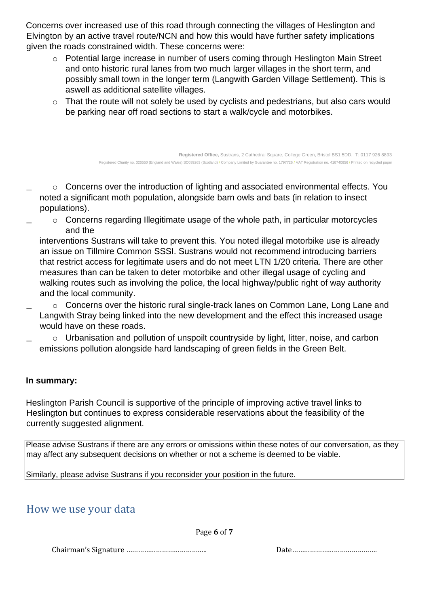Concerns over increased use of this road through connecting the villages of Heslington and Elvington by an active travel route/NCN and how this would have further safety implications given the roads constrained width. These concerns were:

- o Potential large increase in number of users coming through Heslington Main Street and onto historic rural lanes from two much larger villages in the short term, and possibly small town in the longer term (Langwith Garden Village Settlement). This is aswell as additional satellite villages.
- o That the route will not solely be used by cyclists and pedestrians, but also cars would be parking near off road sections to start a walk/cycle and motorbikes.

**Registered Office,** Sustrans, 2 Cathedral Square, College Green, Bristol BS1 5DD. T: 0117 926 8893 Registered Charity no. 326550 (England and Wales) SC039263 (Scotland) / Company Limited by Guarantee no. 1797726 / VAT Registration no. 416740656 / Printed on recycled paper

o Concerns over the introduction of lighting and associated environmental effects. You noted a significant moth population, alongside barn owls and bats (in relation to insect populations).

o Concerns regarding Illegitimate usage of the whole path, in particular motorcycles and the

interventions Sustrans will take to prevent this. You noted illegal motorbike use is already an issue on Tillmire Common SSSI. Sustrans would not recommend introducing barriers that restrict access for legitimate users and do not meet LTN 1/20 criteria. There are other measures than can be taken to deter motorbike and other illegal usage of cycling and walking routes such as involving the police, the local highway/public right of way authority and the local community.

- o Concerns over the historic rural single-track lanes on Common Lane, Long Lane and Langwith Stray being linked into the new development and the effect this increased usage would have on these roads.
- o Urbanisation and pollution of unspoilt countryside by light, litter, noise, and carbon emissions pollution alongside hard landscaping of green fields in the Green Belt.

#### **In summary:**

Heslington Parish Council is supportive of the principle of improving active travel links to Heslington but continues to express considerable reservations about the feasibility of the currently suggested alignment.

Please advise Sustrans if there are any errors or omissions within these notes of our conversation, as they may affect any subsequent decisions on whether or not a scheme is deemed to be viable.

Similarly, please advise Sustrans if you reconsider your position in the future.

## How we use your data